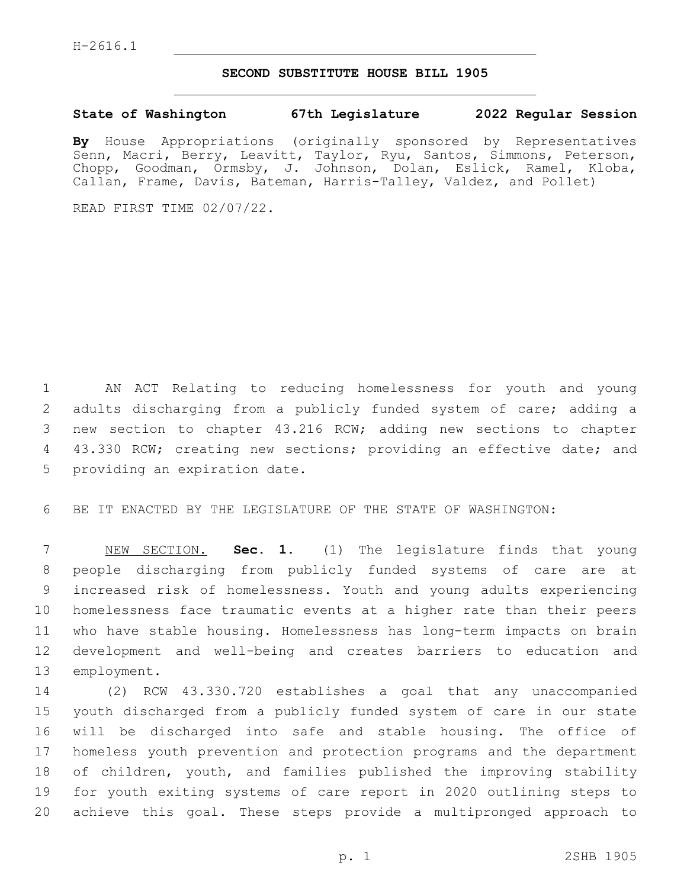## **SECOND SUBSTITUTE HOUSE BILL 1905**

## **State of Washington 67th Legislature 2022 Regular Session**

**By** House Appropriations (originally sponsored by Representatives Senn, Macri, Berry, Leavitt, Taylor, Ryu, Santos, Simmons, Peterson, Chopp, Goodman, Ormsby, J. Johnson, Dolan, Eslick, Ramel, Kloba, Callan, Frame, Davis, Bateman, Harris-Talley, Valdez, and Pollet)

READ FIRST TIME 02/07/22.

1 AN ACT Relating to reducing homelessness for youth and young 2 adults discharging from a publicly funded system of care; adding a 3 new section to chapter 43.216 RCW; adding new sections to chapter 4 43.330 RCW; creating new sections; providing an effective date; and 5 providing an expiration date.

6 BE IT ENACTED BY THE LEGISLATURE OF THE STATE OF WASHINGTON:

 NEW SECTION. **Sec. 1.** (1) The legislature finds that young people discharging from publicly funded systems of care are at increased risk of homelessness. Youth and young adults experiencing homelessness face traumatic events at a higher rate than their peers who have stable housing. Homelessness has long-term impacts on brain development and well-being and creates barriers to education and employment.

 (2) RCW 43.330.720 establishes a goal that any unaccompanied youth discharged from a publicly funded system of care in our state will be discharged into safe and stable housing. The office of homeless youth prevention and protection programs and the department of children, youth, and families published the improving stability for youth exiting systems of care report in 2020 outlining steps to achieve this goal. These steps provide a multipronged approach to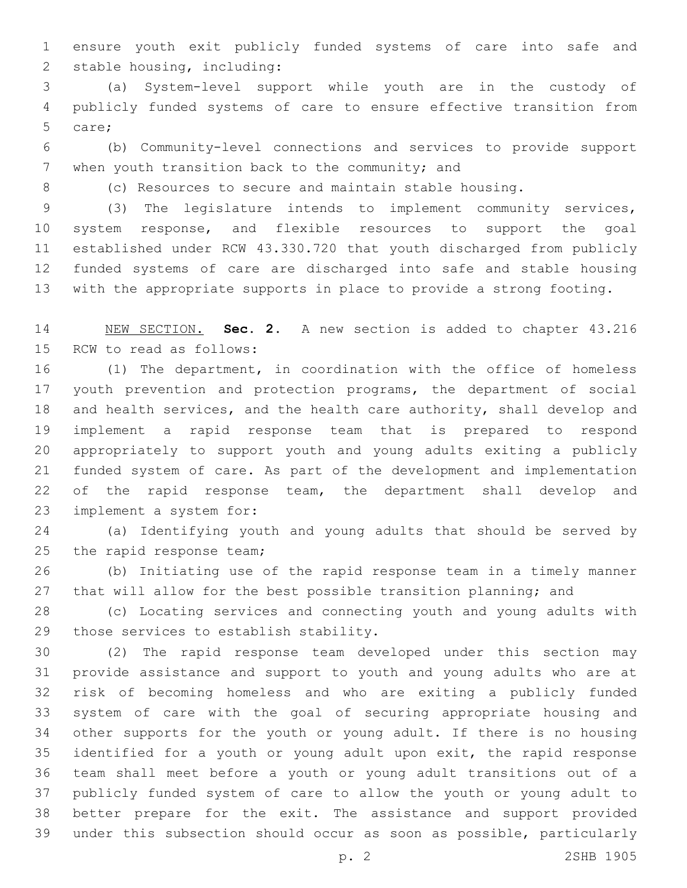ensure youth exit publicly funded systems of care into safe and 2 stable housing, including:

 (a) System-level support while youth are in the custody of publicly funded systems of care to ensure effective transition from 5 care;

 (b) Community-level connections and services to provide support 7 when youth transition back to the community; and

(c) Resources to secure and maintain stable housing.

 (3) The legislature intends to implement community services, system response, and flexible resources to support the goal established under RCW 43.330.720 that youth discharged from publicly funded systems of care are discharged into safe and stable housing with the appropriate supports in place to provide a strong footing.

 NEW SECTION. **Sec. 2.** A new section is added to chapter 43.216 15 RCW to read as follows:

 (1) The department, in coordination with the office of homeless youth prevention and protection programs, the department of social and health services, and the health care authority, shall develop and implement a rapid response team that is prepared to respond appropriately to support youth and young adults exiting a publicly funded system of care. As part of the development and implementation 22 of the rapid response team, the department shall develop and 23 implement a system for:

 (a) Identifying youth and young adults that should be served by 25 the rapid response team;

 (b) Initiating use of the rapid response team in a timely manner 27 that will allow for the best possible transition planning; and

 (c) Locating services and connecting youth and young adults with 29 those services to establish stability.

 (2) The rapid response team developed under this section may provide assistance and support to youth and young adults who are at risk of becoming homeless and who are exiting a publicly funded system of care with the goal of securing appropriate housing and other supports for the youth or young adult. If there is no housing identified for a youth or young adult upon exit, the rapid response team shall meet before a youth or young adult transitions out of a publicly funded system of care to allow the youth or young adult to better prepare for the exit. The assistance and support provided under this subsection should occur as soon as possible, particularly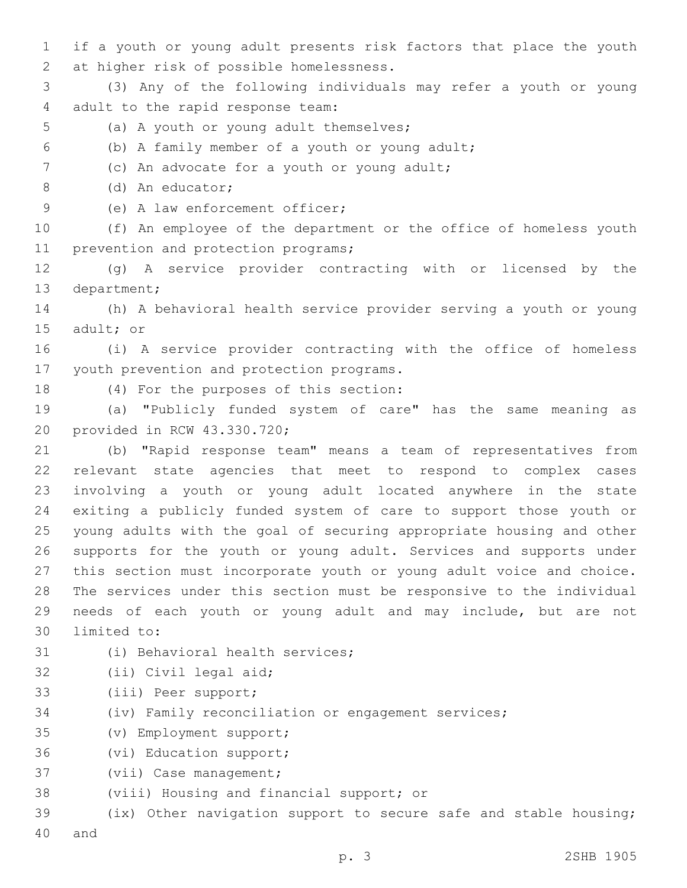1 if a youth or young adult presents risk factors that place the youth 2 at higher risk of possible homelessness.

3 (3) Any of the following individuals may refer a youth or young 4 adult to the rapid response team:

- 5 (a) A youth or young adult themselves;
- (b) A family member of a youth or young adult;6

7 (c) An advocate for a youth or young adult;

(d) An educator;8

9 (e) A law enforcement officer;

10 (f) An employee of the department or the office of homeless youth 11 prevention and protection programs;

12 (g) A service provider contracting with or licensed by the 13 department;

14 (h) A behavioral health service provider serving a youth or young 15 adult; or

16 (i) A service provider contracting with the office of homeless 17 youth prevention and protection programs.

18 (4) For the purposes of this section:

19 (a) "Publicly funded system of care" has the same meaning as 20 provided in RCW 43.330.720;

 (b) "Rapid response team" means a team of representatives from relevant state agencies that meet to respond to complex cases involving a youth or young adult located anywhere in the state exiting a publicly funded system of care to support those youth or young adults with the goal of securing appropriate housing and other supports for the youth or young adult. Services and supports under this section must incorporate youth or young adult voice and choice. The services under this section must be responsive to the individual needs of each youth or young adult and may include, but are not 30 limited to:

- 31 (i) Behavioral health services;
- 32 (ii) Civil legal aid;
- 33 (iii) Peer support;
- 34 (iv) Family reconciliation or engagement services;
- (v) Employment support;35
- 36 (vi) Education support;
- 37 (vii) Case management;
- 38 (viii) Housing and financial support; or

39 (ix) Other navigation support to secure safe and stable housing; 40 and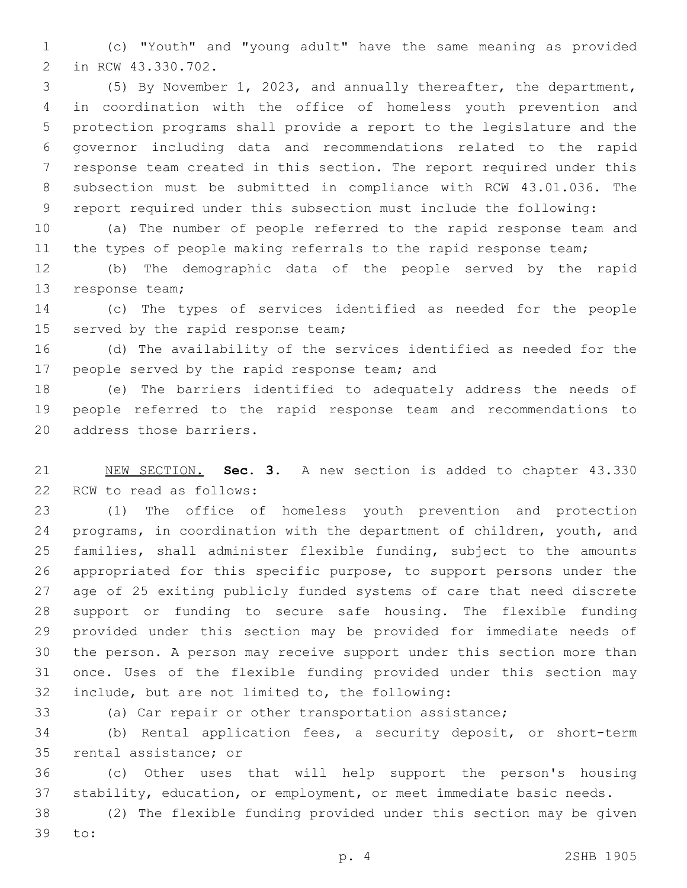(c) "Youth" and "young adult" have the same meaning as provided 2 in RCW 43.330.702.

 (5) By November 1, 2023, and annually thereafter, the department, in coordination with the office of homeless youth prevention and protection programs shall provide a report to the legislature and the governor including data and recommendations related to the rapid response team created in this section. The report required under this subsection must be submitted in compliance with RCW 43.01.036. The report required under this subsection must include the following:

 (a) The number of people referred to the rapid response team and 11 the types of people making referrals to the rapid response team;

 (b) The demographic data of the people served by the rapid 13 response team;

 (c) The types of services identified as needed for the people 15 served by the rapid response team;

 (d) The availability of the services identified as needed for the 17 people served by the rapid response team; and

 (e) The barriers identified to adequately address the needs of people referred to the rapid response team and recommendations to 20 address those barriers.

 NEW SECTION. **Sec. 3.** A new section is added to chapter 43.330 22 RCW to read as follows:

 (1) The office of homeless youth prevention and protection programs, in coordination with the department of children, youth, and families, shall administer flexible funding, subject to the amounts appropriated for this specific purpose, to support persons under the age of 25 exiting publicly funded systems of care that need discrete support or funding to secure safe housing. The flexible funding provided under this section may be provided for immediate needs of the person. A person may receive support under this section more than once. Uses of the flexible funding provided under this section may 32 include, but are not limited to, the following:

(a) Car repair or other transportation assistance;

 (b) Rental application fees, a security deposit, or short-term 35 rental assistance; or

 (c) Other uses that will help support the person's housing stability, education, or employment, or meet immediate basic needs.

 (2) The flexible funding provided under this section may be given 39 to: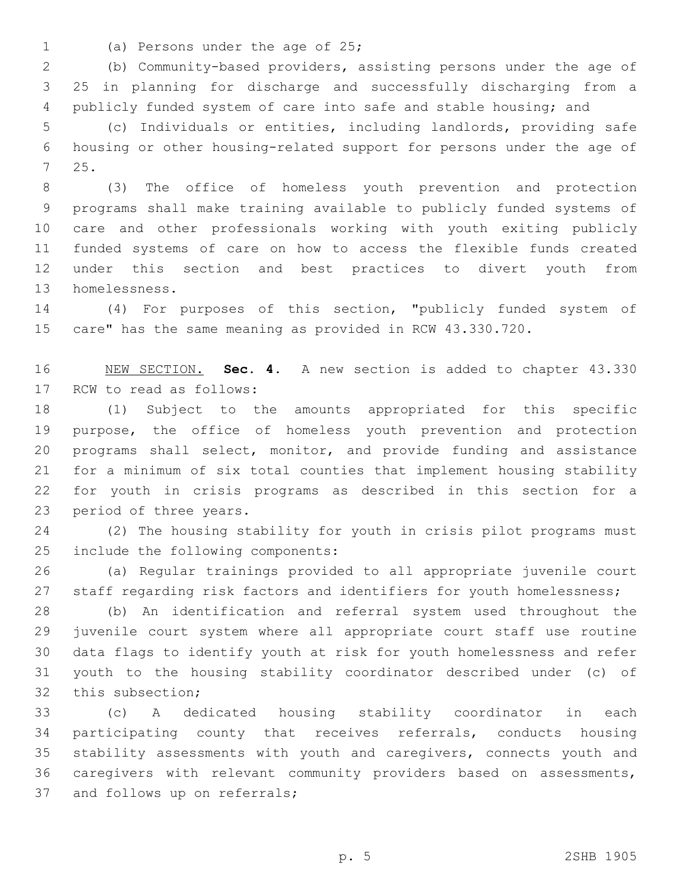- 
- 1 (a) Persons under the age of 25;

 (b) Community-based providers, assisting persons under the age of 25 in planning for discharge and successfully discharging from a publicly funded system of care into safe and stable housing; and

 (c) Individuals or entities, including landlords, providing safe housing or other housing-related support for persons under the age of 25.7

 (3) The office of homeless youth prevention and protection programs shall make training available to publicly funded systems of care and other professionals working with youth exiting publicly funded systems of care on how to access the flexible funds created under this section and best practices to divert youth from 13 homelessness.

 (4) For purposes of this section, "publicly funded system of care" has the same meaning as provided in RCW 43.330.720.

 NEW SECTION. **Sec. 4.** A new section is added to chapter 43.330 17 RCW to read as follows:

 (1) Subject to the amounts appropriated for this specific purpose, the office of homeless youth prevention and protection programs shall select, monitor, and provide funding and assistance for a minimum of six total counties that implement housing stability for youth in crisis programs as described in this section for a 23 period of three years.

 (2) The housing stability for youth in crisis pilot programs must 25 include the following components:

 (a) Regular trainings provided to all appropriate juvenile court 27 staff regarding risk factors and identifiers for youth homelessness;

 (b) An identification and referral system used throughout the juvenile court system where all appropriate court staff use routine data flags to identify youth at risk for youth homelessness and refer youth to the housing stability coordinator described under (c) of 32 this subsection;

 (c) A dedicated housing stability coordinator in each participating county that receives referrals, conducts housing stability assessments with youth and caregivers, connects youth and caregivers with relevant community providers based on assessments, 37 and follows up on referrals;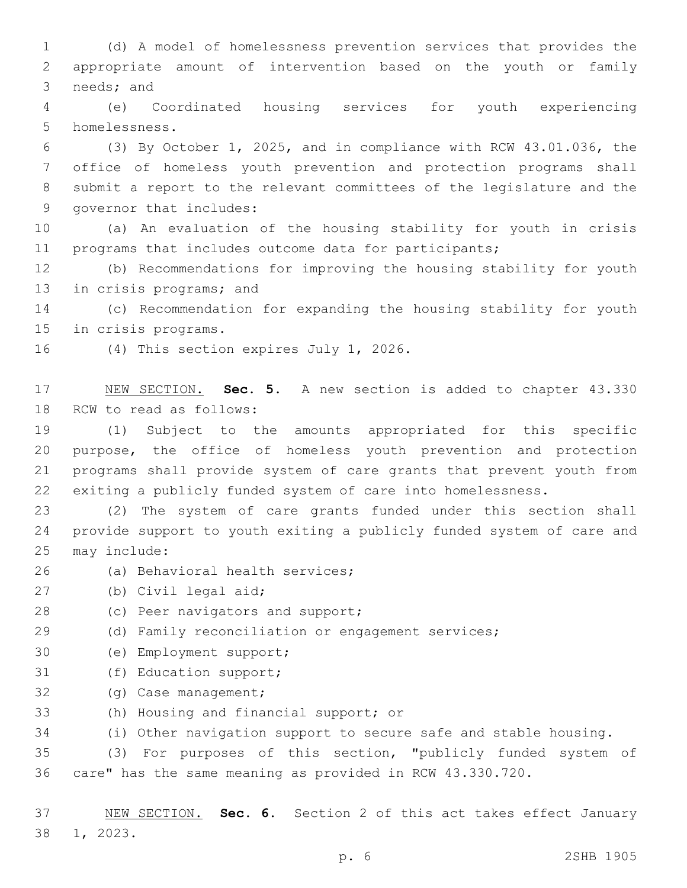1 (d) A model of homelessness prevention services that provides the 2 appropriate amount of intervention based on the youth or family 3 needs; and

4 (e) Coordinated housing services for youth experiencing 5 homelessness.

 (3) By October 1, 2025, and in compliance with RCW 43.01.036, the office of homeless youth prevention and protection programs shall submit a report to the relevant committees of the legislature and the 9 governor that includes:

10 (a) An evaluation of the housing stability for youth in crisis 11 programs that includes outcome data for participants;

12 (b) Recommendations for improving the housing stability for youth 13 in crisis programs; and

14 (c) Recommendation for expanding the housing stability for youth 15 in crisis programs.

16 (4) This section expires July 1, 2026.

17 NEW SECTION. **Sec. 5.** A new section is added to chapter 43.330 18 RCW to read as follows:

 (1) Subject to the amounts appropriated for this specific purpose, the office of homeless youth prevention and protection programs shall provide system of care grants that prevent youth from exiting a publicly funded system of care into homelessness.

23 (2) The system of care grants funded under this section shall 24 provide support to youth exiting a publicly funded system of care and 25 may include:

- 26 (a) Behavioral health services;
- 27 (b) Civil legal aid;
- 28 (c) Peer navigators and support;
- 29 (d) Family reconciliation or engagement services;
- 30 (e) Employment support;
- 31 (f) Education support;
- 32 (g) Case management;
- 33 (h) Housing and financial support; or

34 (i) Other navigation support to secure safe and stable housing.

35 (3) For purposes of this section, "publicly funded system of 36 care" has the same meaning as provided in RCW 43.330.720.

37 NEW SECTION. **Sec. 6.** Section 2 of this act takes effect January 38 1, 2023.